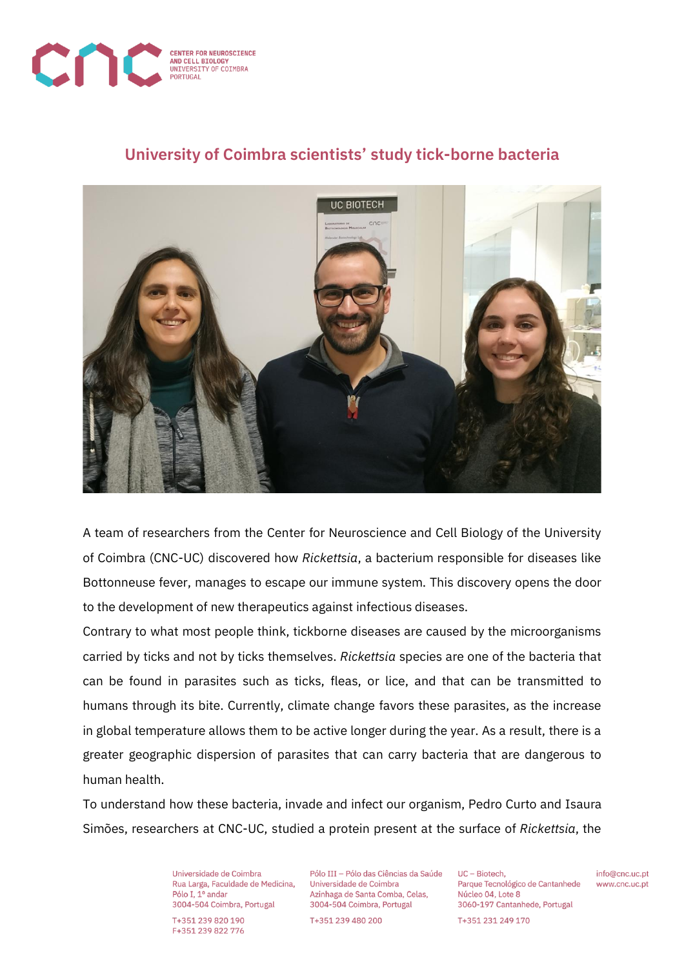

## **University of Coimbra scientists' study tick-borne bacteria**



A team of researchers from the Center for Neuroscience and Cell Biology of the University of Coimbra (CNC-UC) discovered how *Rickettsia*, a bacterium responsible for diseases like Bottonneuse fever, manages to escape our immune system. This discovery opens the door to the development of new therapeutics against infectious diseases.

Contrary to what most people think, tickborne diseases are caused by the microorganisms carried by ticks and not by ticks themselves. *Rickettsia* species are one of the bacteria that can be found in parasites such as ticks, fleas, or lice, and that can be transmitted to humans through its bite. Currently, climate change favors these parasites, as the increase in global temperature allows them to be active longer during the year. As a result, there is a greater geographic dispersion of parasites that can carry bacteria that are dangerous to human health.

To understand how these bacteria, invade and infect our organism, Pedro Curto and Isaura Simões, researchers at CNC-UC, studied a protein present at the surface of *Rickettsia*, the

> Universidade de Coimbra Rua Larga, Faculdade de Medicina, Pólo I. 1º andar 3004-504 Coimbra, Portugal

T+351 239 820 190 F+351 239 822 776

Pólo III - Pólo das Ciências da Saúde Universidade de Coimbra Azinhaga de Santa Comba, Celas. 3004-504 Coimbra, Portugal

T+351 239 480 200

UC - Biotech. Parque Tecnológico de Cantanhede Núcleo 04, Lote 8 3060-197 Cantanhede, Portugal

info@cnc.uc.pt www.cnc.uc.pt

T+351 231 249 170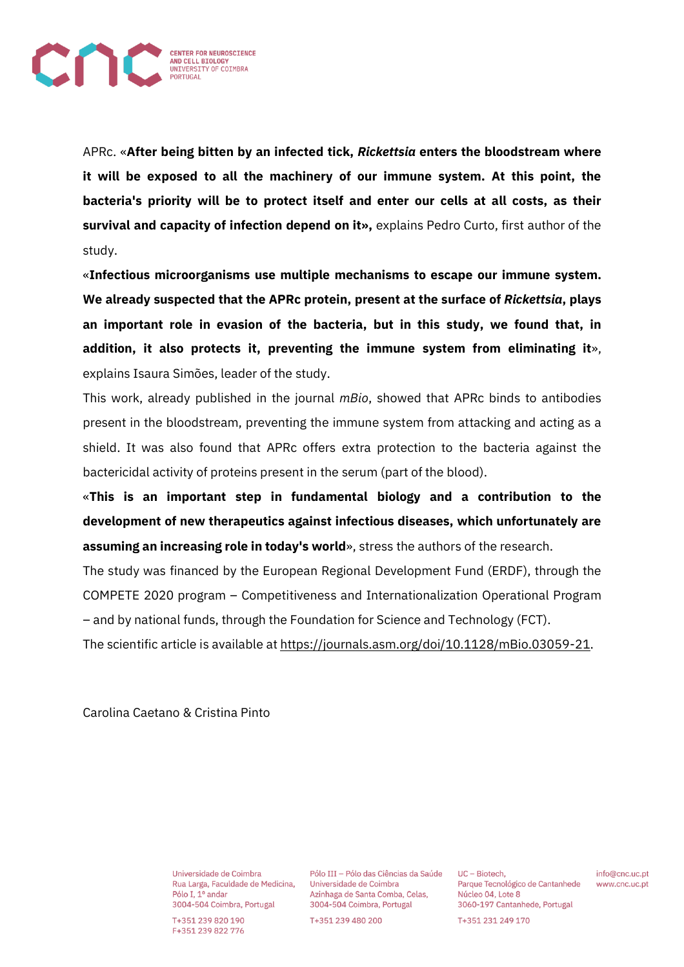

APRc. «**After being bitten by an infected tick,** *Rickettsia* **enters the bloodstream where it will be exposed to all the machinery of our immune system. At this point, the bacteria's priority will be to protect itself and enter our cells at all costs, as their survival and capacity of infection depend on it»,** explains Pedro Curto, first author of the study.

«**Infectious microorganisms use multiple mechanisms to escape our immune system. We already suspected that the APRc protein, present at the surface of** *Rickettsia***, plays an important role in evasion of the bacteria, but in this study, we found that, in addition, it also protects it, preventing the immune system from eliminating it**», explains Isaura Simões, leader of the study.

This work, already published in the journal *mBio*, showed that APRc binds to antibodies present in the bloodstream, preventing the immune system from attacking and acting as a shield. It was also found that APRc offers extra protection to the bacteria against the bactericidal activity of proteins present in the serum (part of the blood).

«**This is an important step in fundamental biology and a contribution to the development of new therapeutics against infectious diseases, which unfortunately are assuming an increasing role in today's world**», stress the authors of the research.

The study was financed by the European Regional Development Fund (ERDF), through the COMPETE 2020 program – Competitiveness and Internationalization Operational Program – and by national funds, through the Foundation for Science and Technology (FCT).

The scientific article is available at [https://journals.asm.org/doi/10.1128/mBio.03059-21.](https://journals.asm.org/doi/10.1128/mBio.03059-21)

Carolina Caetano & Cristina Pinto

Universidade de Coimbra Rua Larga, Faculdade de Medicina, Pólo I. 1º andar 3004-504 Coimbra, Portugal

T+351 239 820 190 F+351 239 822 776

Pólo III - Pólo das Ciências da Saúde Universidade de Coimbra Azinhaga de Santa Comba, Celas. 3004-504 Coimbra, Portugal

T+351 239 480 200

UC - Biotech. Parque Tecnológico de Cantanhede Núcleo 04, Lote 8 3060-197 Cantanhede, Portugal T+351 231 249 170

info@cnc.uc.pt www.cnc.uc.pt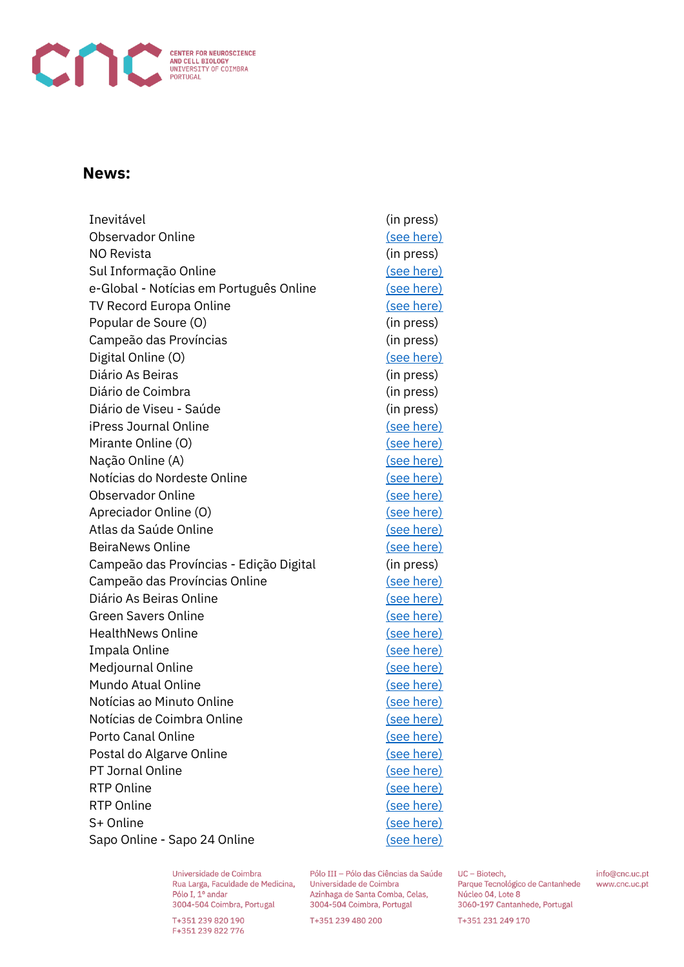

## News:

| Inevitável                              | (in press)        |
|-----------------------------------------|-------------------|
| Observador Online                       | (see here)        |
| <b>NO Revista</b>                       | (in press)        |
| Sul Informação Online                   | (see here)        |
| e-Global - Notícias em Português Online | (see here)        |
| <b>TV Record Europa Online</b>          | (see here)        |
| Popular de Soure (O)                    | (in press)        |
| Campeão das Províncias                  | (in press)        |
| Digital Online (O)                      | (see here)        |
| Diário As Beiras                        | (in press)        |
| Diário de Coimbra                       | (in press)        |
| Diário de Viseu - Saúde                 | (in press)        |
| <b>iPress Journal Online</b>            | <u>(see here)</u> |
| Mirante Online (O)                      | (see here)        |
| Nação Online (A)                        | (see here)        |
| Notícias do Nordeste Online             | (see here)        |
| <b>Observador Online</b>                | (see here)        |
| Apreciador Online (O)                   | (see here)        |
| Atlas da Saúde Online                   | (see here)        |
| <b>BeiraNews Online</b>                 | (see here)        |
| Campeão das Províncias - Edição Digital | (in press)        |
| Campeão das Províncias Online           | (see here)        |
| Diário As Beiras Online                 | (see here)        |
| <b>Green Savers Online</b>              | (see here)        |
| <b>HealthNews Online</b>                | <u>(see here)</u> |
| Impala Online                           | <u>(see here)</u> |
| Medjournal Online                       | (see here)        |
| Mundo Atual Online                      | <u>(see here)</u> |
| Notícias ao Minuto Online               | (see here)        |
| Notícias de Coimbra Online              | (see here)        |
| Porto Canal Online                      | <u>(see here)</u> |
| Postal do Algarve Online                | (see here)        |
| PT Jornal Online                        | <u>(see here)</u> |
| <b>RTP Online</b>                       | <u>(see here)</u> |
| <b>RTP Online</b>                       | <u>(see here)</u> |
| S+ Online                               | (see here)        |
| Sapo Online - Sapo 24 Online            | (see here)        |

Universidade de Coimbra Rua Larga, Faculdade de Medicina, Pólo I, 1º andar 3004-504 Coimbra, Portugal

T+351 239 820 190 F+351 239 822 776

Pólo III - Pólo das Ciências da Saúde Universidade de Coimbra Azinhaga de Santa Comba, Celas, 3004-504 Coimbra, Portugal

T+351 239 480 200

UC - Biotech, Parque Tecnológico de Cantanhede Núcleo 04, Lote 8 3060-197 Cantanhede, Portugal

info@cnc.uc.pt www.cnc.uc.pt

T+351 231 249 170